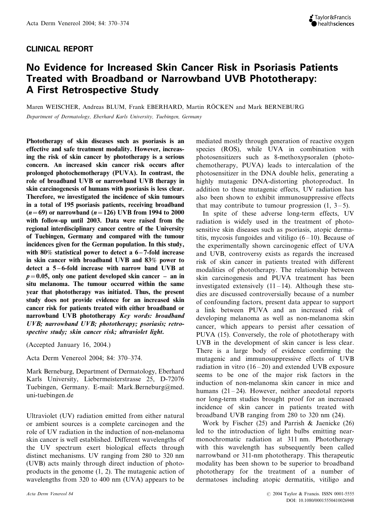# CLINICAL REPORT

# No Evidence for Increased Skin Cancer Risk in Psoriasis Patients Treated with Broadband or Narrowband UVB Phototherapy: A First Retrospective Study

Maren WEISCHER, Andreas BLUM, Frank EBERHARD, Martin RÖCKEN and Mark BERNEBURG Department of Dermatology, Eberhard Karls University, Tuebingen, Germany

Phototherapy of skin diseases such as psoriasis is an effective and safe treatment modality. However, increasing the risk of skin cancer by phototherapy is a serious concern. An increased skin cancer risk occurs after prolonged photochemotherapy (PUVA). In contrast, the role of broadband UVB or narrowband UVB therapy in skin carcinogenesis of humans with psoriasis is less clear. Therefore, we investigated the incidence of skin tumours in a total of 195 psoriasis patients, receiving broadband  $(n=69)$  or narrowband  $(n=126)$  UVB from 1994 to 2000 with follow-up until 2003. Data were raised from the regional interdisciplinary cancer centre of the University of Tuebingen, Germany and compared with the tumour incidences given for the German population. In this study, with  $80\%$  statistical power to detect a  $6 - 7$ -fold increase in skin cancer with broadband UVB and 83% power to detect a 5 – 6-fold increase with narrow band UVB at  $p=0.05$ , only one patient developed skin cancer – an in situ melanoma. The tumour occurred within the same year that phototherapy was initiated. Thus, the present study does not provide evidence for an increased skin cancer risk for patients treated with either broadband or narrowband UVB phototherapy Key words: broadband UVB; narrowband UVB; phototherapy; psoriasis; retrospective study; skin cancer risk; ultraviolet light.

(Accepted January 16, 2004.)

Acta Derm Venereol 2004; 84: 370–374.

Mark Berneburg, Department of Dermatology, Eberhard Karls University, Liebermeisterstrasse 25, D-72076 Tuebingen, Germany. E-mail: Mark.Berneburg@med. uni-tuebingen.de

Ultraviolet (UV) radiation emitted from either natural or ambient sources is a complete carcinogen and the role of UV radiation in the induction of non-melanoma skin cancer is well established. Different wavelengths of the UV spectrum exert biological effects through distinct mechanisms. UV ranging from 280 to 320 nm (UVB) acts mainly through direct induction of photoproducts in the genome (1, 2). The mutagenic action of wavelengths from 320 to 400 nm (UVA) appears to be

mediated mostly through generation of reactive oxygen species (ROS), while UVA in combination with photosensitizers such as 8-methoxypsoralen (photochemotherapy, PUVA) leads to intercalation of the photosensitizer in the DNA double helix, generating a highly mutagenic DNA-distorting photoproduct. In addition to these mutagenic effects, UV radiation has also been shown to exhibit immunosuppressive effects that may contribute to tumour progression  $(1, 3-5)$ .

In spite of these adverse long-term effects, UV radiation is widely used in the treatment of photosensitive skin diseases such as psoriasis, atopic dermatitis, mycosis fungoides and vitiligo  $(6 - 10)$ . Because of the experimentally shown carcinogenic effect of UVA and UVB, controversy exists as regards the increased risk of skin cancer in patients treated with different modalities of phototherapy. The relationship between skin carcinogenesis and PUVA treatment has been investigated extensively  $(11-14)$ . Although these studies are discussed controversially because of a number of confounding factors, present data appear to support a link between PUVA and an increased risk of developing melanoma as well as non-melanoma skin cancer, which appears to persist after cessation of PUVA (15). Conversely, the role of phototherapy with UVB in the development of skin cancer is less clear. There is a large body of evidence confirming the mutagenic and immunosuppressive effects of UVB radiation in vitro  $(16-20)$  and extended UVB exposure seems to be one of the major risk factors in the induction of non-melanoma skin cancer in mice and humans  $(21-24)$ . However, neither anecdotal reports nor long-term studies brought proof for an increased incidence of skin cancer in patients treated with broadband UVB ranging from 280 to 320 nm (24).

Work by Fischer (25) and Parrish & Jaenicke (26) led to the introduction of light bulbs emitting nearmonochromatic radiation at 311 nm. Phototherapy with this wavelength has subsequently been called narrowband or 311-nm phototherapy. This therapeutic modality has been shown to be superior to broadband phototherapy for the treatment of a number of dermatoses including atopic dermatitis, vitiligo and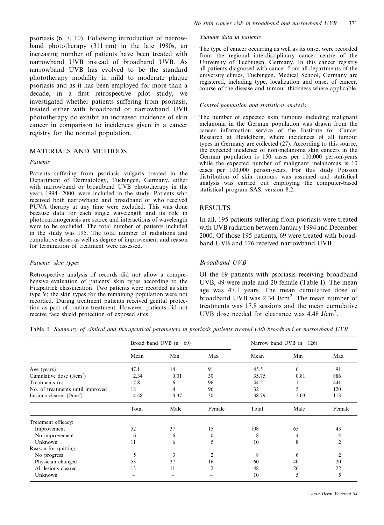psoriasis (6, 7, 10). Following introduction of narrowband phototherapy (311 nm) in the late 1980s, an increasing number of patients have been treated with narrowband UVB instead of broadband UVB. As narrowband UVB has evolved to be the standard phototherapy modality in mild to moderate plaque psoriasis and as it has been employed for more than a decade, in a first retrospective pilot study, we investigated whether patients suffering from psoriasis, treated either with broadband or narrowband UVB phototherapy do exhibit an increased incidence of skin cancer in comparison to incidences given in a cancer registry for the normal population.

# MATERIALS AND METHODS

#### **Patients**

Patients suffering from psoriasis vulgaris treated in the Department of Dermatology, Tuebingen, Germany, either with narrowband or broadband UVB phototherapy in the years 1994 – 2000, were included in the study. Patients who received both narrowband and broadband or who received PUVA therapy at any time were excluded. This was done because data for each single wavelength and its role in photocarcinogenesis are scarce and interactions of wavelength were to be excluded. The total number of patients included in the study was 195. The total number of radiations and cumulative doses as well as degree of improvement and reason for termination of treatment were assessed.

#### Patients' skin types

Retrospective analysis of records did not allow a comprehensive evaluation of patients' skin types according to the Fitzpatrick classification. Two patients were recorded as skin type V; the skin types for the remaining population were not recorded. During treatment patients received genital protection as part of routine treatment. However, patients did not receive face shield protection of exposed sites.

#### Tumour data in patients

The type of cancer occurring as well as its onset were recorded from the regional interdisciplinary cancer centre of the University of Tuebingen, Germany. In this cancer registry all patients diagnosed with cancer from all departments of the university clinics, Tuebingen, Medical School, Germany are registered, including type, localization and onset of cancer, course of the disease and tumour thickness where applicable.

#### Control population and statistical analysis

The number of expected skin tumours including malignant melanoma in the German population was drawn from the cancer information service of the Institute for Cancer Research at Heidelberg, where incidences of all tumour types in Germany are collected (27). According to this source, the expected incidence of non-melanoma skin cancers in the German population is 150 cases per 100,000 person-years while the expected number of malignant melanomas is 10 cases per 100,000 person-years. For this study Poisson distribution of skin tumours was assumed and statistical analysis was carried out employing the computer-based statistical program SAS, version 8.2.

## RESULTS

In all, 195 patients suffering from psoriasis were treated with UVB radiation between January 1994 and December 2000. Of those 195 patients, 69 were treated with broadband UVB and 126 received narrowband UVB.

## Broadband UVB

Of the 69 patients with psoriasis receiving broadband UVB, 49 were male and 20 female (Table I). The mean age was 47.1 years. The mean cumulative dose of broadband UVB was 2.34 J/cm<sup>2</sup>. The mean number of treatments was 17.8 sessions and the mean cumulative UVB dose needed for clearance was 4.48 J/cm<sup>2</sup>.

Table I. Summary of clinical and therapeutical parameters in psoriasis patients treated with broadband or narrowband UVB

|                                  | Broad band UVB $(n=69)$ |      |          | Narrow band UVB $(n=126)$ |      |                |
|----------------------------------|-------------------------|------|----------|---------------------------|------|----------------|
|                                  | Mean                    | Min  | Max      | Mean                      | Min  | Max            |
| Age (years)                      | 47.1                    | 14   | 91       | 45.5                      | 6    | 91             |
| Cumulative dose $(J/cm2)$        | 2.34                    | 0.01 | 30       | 35.75                     | 0.81 | 886            |
| Treatments (n)                   | 17.8                    | 6    | 96       | 44.2                      |      | 441            |
| No. of treatments until improved | 18                      | 4    | 96       | 32                        | 5    | 120            |
| Lesions cleared $(J/cm2)$        | 4.48                    | 0.37 | 30       | 38.79                     | 2.03 | 113            |
|                                  | Total                   | Male | Female   | Total                     | Male | Female         |
| Treatment efficacy:              |                         |      |          |                           |      |                |
| Improvement                      | 52                      | 37   | 15       | 108                       | 65   | 43             |
| No improvement                   | 6                       | 6    | $\theta$ | 8                         | 4    | 4              |
| Unknown                          | 11                      | 6    | 5        | 10                        | 8    | $\overline{2}$ |
| Reason for quitting:             |                         |      |          |                           |      |                |
| No progress                      | 5                       | 3    | 2        | 8                         | 6    | 2              |
| Physician changed                | 53                      | 37   | 16       | 60                        | 40   | 20             |
| All lesions cleared              | 13                      | 11   |          | 48                        | 26   | 22             |
| Unknown                          |                         |      |          | 10                        | 5    | 5              |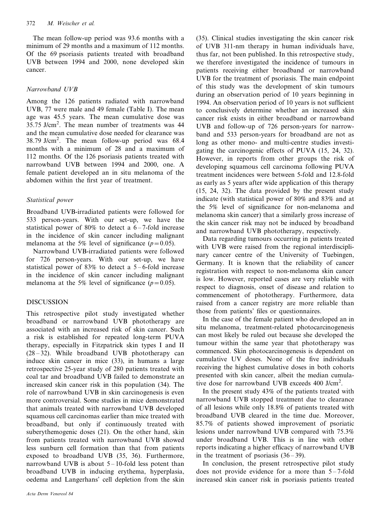The mean follow-up period was 93.6 months with a minimum of 29 months and a maximum of 112 months. Of the 69 psoriasis patients treated with broadband UVB between 1994 and 2000, none developed skin cancer.

# Narrowband UVB

Among the 126 patients radiated with narrowband UVB, 77 were male and 49 female (Table I). The mean age was 45.5 years. The mean cumulative dose was 35.75 J/cm<sup>2</sup> . The mean number of treatments was 44 and the mean cumulative dose needed for clearance was 38.79 J/cm<sup>2</sup>. The mean follow-up period was 68.4 months with a minimum of 28 and a maximum of 112 months. Of the 126 psoriasis patients treated with narrowband UVB between 1994 and 2000, one. A female patient developed an in situ melanoma of the abdomen within the first year of treatment.

## Statistical power

Broadband UVB-irradiated patients were followed for 533 person-years. With our set-up, we have the statistical power of 80% to detect a  $6-7$ -fold increase in the incidence of skin cancer including malignant melanoma at the 5% level of significance ( $p=0.05$ ).

Narrowband UVB-irradiated patients were followed for 726 person-years. With our set-up, we have statistical power of 83% to detect a 5 – 6-fold increase in the incidence of skin cancer including malignant melanoma at the 5% level of significance ( $p=0.05$ ).

# DISCUSSION

This retrospective pilot study investigated whether broadband or narrowband UVB phototherapy are associated with an increased risk of skin cancer. Such a risk is established for repeated long-term PUVA therapy, especially in Fitzpatrick skin types I and II (28 – 32). While broadband UVB phototherapy can induce skin cancer in mice (33), in humans a large retrospective 25-year study of 280 patients treated with coal tar and broadband UVB failed to demonstrate an increased skin cancer risk in this population (34). The role of narrowband UVB in skin carcinogenesis is even more controversial. Some studies in mice demonstrated that animals treated with narrowband UVB developed squamous cell carcinomas earlier than mice treated with broadband, but only if continuously treated with suberythemogenic doses (21). On the other hand, skin from patients treated with narrowband UVB showed less sunburn cell formation than that from patients exposed to broadband UVB (35, 36). Furthermore, narrowband UVB is about  $5 - 10$ -fold less potent than broadband UVB in inducing erythema, hyperplasia, oedema and Langerhans' cell depletion from the skin (35). Clinical studies investigating the skin cancer risk of UVB 311-nm therapy in human individuals have, thus far, not been published. In this retrospective study, we therefore investigated the incidence of tumours in patients receiving either broadband or narrowband UVB for the treatment of psoriasis. The main endpoint of this study was the development of skin tumours during an observation period of 10 years beginning in 1994. An observation period of 10 years is not sufficient to conclusively determine whether an increased skin cancer risk exists in either broadband or narrowband UVB and follow-up of 726 person-years for narrowband and 533 person-years for broadband are not as long as other mono- and multi-centre studies investigating the carcinogenic effects of PUVA (15, 24, 32). However, in reports from other groups the risk of developing squamous cell carcinoma following PUVA treatment incidences were between 5-fold and 12.8-fold as early as 5 years after wide application of this therapy (15, 24, 32). The data provided by the present study indicate (with statistical power of 80% and 83% and at the 5% level of significance for non-melanoma and melanoma skin cancer) that a similarly gross increase of the skin cancer risk may not be induced by broadband and narrowband UVB phototherapy, respectively.

Data regarding tumours occurring in patients treated with UVB were raised from the regional interdisciplinary cancer centre of the University of Tuebingen, Germany. It is known that the reliability of cancer registration with respect to non-melanoma skin cancer is low. However, reported cases are very reliable with respect to diagnosis, onset of disease and relation to commencement of phototherapy. Furthermore, data raised from a cancer registry are more reliable than those from patients' files or questionnaires.

In the case of the female patient who developed an in situ melanoma, treatment-related photocarcinogenesis can most likely be ruled out because she developed the tumour within the same year that phototherapy was commenced. Skin photocarcinogenesis is dependent on cumulative UV doses. None of the five individuals receiving the highest cumulative doses in both cohorts presented with skin cancer, albeit the median cumulative dose for narrowband UVB exceeds 400 J/cm<sup>2</sup>.

In the present study 43% of the patients treated with narrowband UVB stopped treatment due to clearance of all lesions while only 18.8% of patients treated with broadband UVB cleared in the time due. Moreover, 85.7% of patients showed improvement of psoriatic lesions under narrowband UVB compared with 75.3% under broadband UVB. This is in line with other reports indicating a higher efficacy of narrowband UVB in the treatment of psoriasis  $(36-39)$ .

In conclusion, the present retrospective pilot study does not provide evidence for a more than  $5 - 7$ -fold increased skin cancer risk in psoriasis patients treated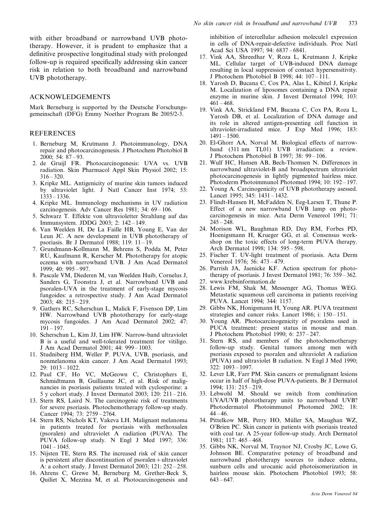with either broadband or narrowband UVB phototherapy. However, it is prudent to emphasize that a definitive prospective longitudinal study with prolonged follow-up is required specifically addressing skin cancer risk in relation to both broadband and narrowband UVB phototherapy.

## ACKNOWLEDGEMENTS

Mark Berneburg is supported by the Deutsche Forschungsgemeinschaft (DFG) Emmy Noether Program Be 2005/2-3.

### **REFERENCES**

- 1. Berneburg M, Krutmann J. Photoimmunology, DNA repair and photocarcinogenesis. J Photochem Photobiol B 2000; 54: 87 – 93.
- 2. de Gruijl FR. Photocarcinogenesis: UVA vs. UVB radiation. Skin Pharmacol Appl Skin Physiol 2002; 15:  $316 - 320$ .
- 3. Kripke ML. Antigenicity of murine skin tumors induced by ultraviolet light. J Natl Cancer Inst 1974; 53: 1333 – 1336.
- 4. Kripke ML. Immunology mechanisms in UV radiation carcinogenesis. Adv Cancer Res 1981; 34: 69 – 106.
- 5. Schwarz T. Effekte von ultravioletter Strahlung auf das Immunsystem. JDDG 2003; 2: 142 – 149.
- 6. Van Weelden H, De La Faille HB, Young E, Van der Leun JC. A new development in UVB phototherapy of psoriasis. Br J Dermatol 1988; 119: 11 – 19.
- 7. Grundmann-Kollmann M, Behrens S, Podda M, Peter RU, Kaufmann R, Kerscher M. Phototherapy for atopic eczema with narrowband UVB. J Am Acad Dermatol 1999; 40: 995 – 997.
- 8. Pascale VM, Diederen M, van Weelden Huib, Cornelus J, Sanders G, Toonstra J, et al. Narrowband UVB and psoralen-UVA in the treatment of early-stage mycosis fungoides: a retrospective study. J Am Acad Dermatol 2003; 48: 215 – 219.
- 9. Gathers RC, Scherschun L, Malick F, Fivenson DP, Lim HW. Narrowband UVB phototherapy for early-stage mycosis fungoides. J Am Acad Dermatol 2002; 47:  $191 - 197.$
- 10. Scherschun L, Kim JJ, Lim HW. Narrow-band ultraviolet B is a useful and well-tolerated treatment for vitiligo. J Am Acad Dermatol 2001; 44: 999 – 1003.
- 11. Studniberg HM, Weller P. PUVA, UVB, psoriasis, and nonmelanoma skin cancer. J Am Acad Dermatol 1993; 29: 1013 – 1022.
- 12. Paul CF, Ho VC, McGeown C, Christophers E, Schmidtmann B, Guillaume JC, et al. Risk of malignancies in psoriasis patients treated with cyclosporine: a 5 y cohort study. J Invest Dermatol 2003; 120: 211 – 216.
- 13. Stern RS, Laird N. The carcinogenic risk of treatments for severe psoriasis. Photochemotherapy follow-up study. Cancer 1994; 73: 2759 – 2764.
- 14. Stern RS, Nichols KT, Vakeva LH. Malignant melanoma in patients treated for psoriasis with methoxsalen (psoralen) and ultraviolet A radiation (PUVA). The PUVA follow-up study. N Engl J Med 1997; 336:  $1041 - 1045.$
- 15. Nijsten TE, Stern RS. The increased risk of skin cancer is persistent after discontinuation of psoralen $+$ ultraviolet A: a cohort study. J Invest Dermatol 2003; 121: 252 – 258.
- 16. Ahrens C, Grewe M, Berneburg M, Grether-Beck S, Quiliet X, Mezzina M, et al. Photocarcinogenesis and

inhibition of intercellular adhesion molecule1 expression in cells of DNA-repair-defective individuals. Proc Natl Acad Sci USA 1997; 94: 6837 – 6841.

- 17. Vink AA, Shreedhar V, Roza L, Krutmann J, Kripke ML. Cellular target of UVB-induced DNA damage resulting in local suppression of contact hypersensitivity. J Photochem Photobiol B 1998; 44: 107 – 111.
- 18. Yarosh D, Bucana C, Cox PA, Alas L, Kibitel J, Kripke M. Localization of liposomes containing a DNA repair enzyme in murine skin. J Invest Dermatol 1994; 103:  $461 - 468$ .
- 19. Vink AA, Strickland FM, Bucana C, Cox PA, Roza L, Yarosh DB, et al. Localization of DNA damage and its role in altered antigen-presenting cell function in ultraviolet-irradiated mice. J Exp Med 1996; 183:  $1491 - 1500$
- 20. El-Ghorr AA, Norval M. Biological effects of narrowband (311 nm TL01) UVB irradiation: a review. J Photochem Photobiol B 1997; 38: 99 – 106.
- 21. Wulf HC, Hansen AB, Bech-Thomsen N. Differences in narrowband ultraviolet-B and broadspectrum ultraviolet photocarcinogenesis in lightly pigmented hairless mice. Photoderm Photoimmunol Photomed 1994; 10: 192-197.
- 22. Young A. Carcinogenicity of UVB phototherapy asessed. Lancet 1995; 345: 1431 – 1432.
- 23. Flindt-Hansen H, McFadden N, Eeg-Larsen T, Thune P. Effect of a new narrowband UVB lamp on photocarcinogenesis in mice. Acta Derm Venereol 1991; 71:  $245 - 248$
- 24. Morison WL, Baughman RD, Day RM, Forbes PD, Hoenigsmann H, Krueger GG, et al. Consensus workshop on the toxic effects of long-term PUVA therapy. Arch Dermatol 1998; 134: 595 – 598.
- 25. Fischer T. UV-light treatment of psoriasis. Acta Derm Venereol 1976; 56: 473 – 479.
- 26. Parrish JA, Jaenicke KF. Action spectrum for phototherapy of psoriasis. J Invest Dermatol 1981; 76: 359 – 362.
- 27. www.krebsinformation.de
- 28. Lewis FM, Shak M, Messenger AG, Thomas WEG. Metastatic squamous cell carcinoma in patients receiving PUVA. Lancet 1994; 344: 1157.
- 29. Gibbs NK, Honigsmann H, Young AR. PUVA treatment strategies and cancer risks. Lancet 1986; i: 150-151.
- 30. Young AR. Photocarcinogenicity of psoralens used in PUCA treatment: present status in mouse and man. J Photochem Photobiol 1990; 6: 237 – 247.
- 31. Stern RS, and members of the photochemotherapy follow-up study. Genital tumors among men with psoriasis exposed to psoralen and ultraviolet A radiation (PUVA) and ultraviolet B radiation. N Engl J Med 1990; 322: 1093 – 1097.
- 32. Lever LR, Farr PM. Skin cancers or premalignant lesions occur in half of high-dose PUVA-patients. Br J Dermatol 1994; 131: 215 – 219.
- 33. Lebwohl M. Should we switch from combination UVA/UVB phototherapy units to narrowband UVB? Photodermatol Photoimmunol Photomed 2002; 18:  $44 - 46$
- 34. Pittelkow MR, Perry HO, Müller SA, Maughan WZ, O'Brien PC. Skin cancer in patients with psoriasis treated with coal tar. A 25-year follow-up study. Arch Dermatol 1981; 117: 465 – 468.
- 35. Gibbs NK, Norval M, Traynor NJ, Crosby JC, Lowe G, Johnson BE. Comparative potency of broadband and narrowband phototherapy sources to induce edema, sunburn cells and urocanic acid photoisomerization in hairless mouse skin. Photochem Photobiol 1993; 58:  $643 - 647.$